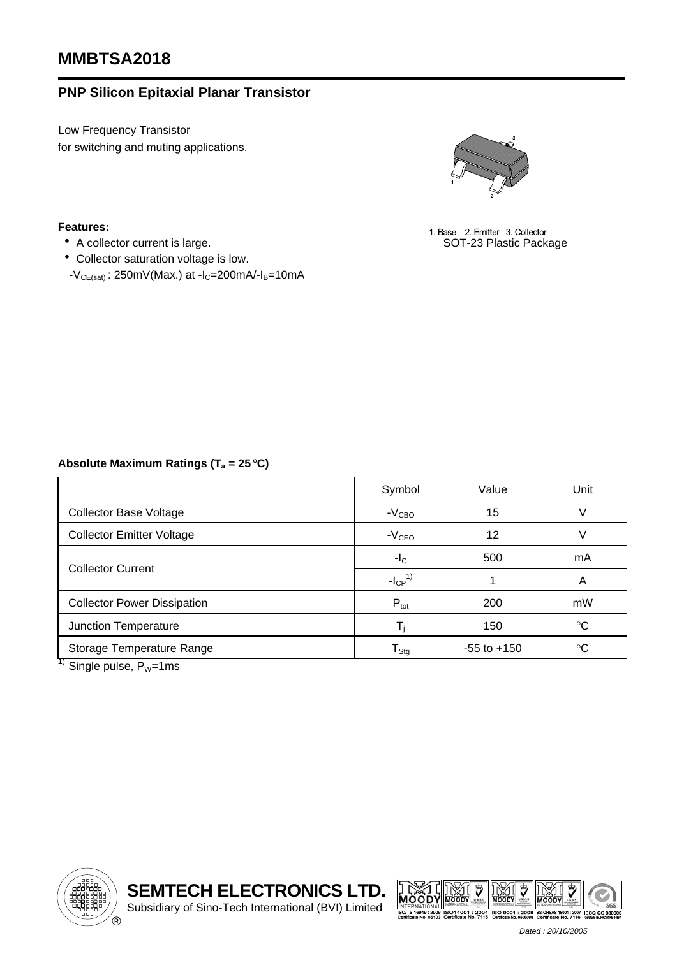# **MMBTSA2018**

# **PNP Silicon Epitaxial Planar Transistor**

Low Frequency Transistor for switching and muting applications.



• eatures: and the state of the state of the state of the state of the state of the state of the state of the state of the state of the SOT-23 Plastic Package <br>● A collector current is large. A state of the state of the S

#### **Features:**

- 
- ‧Collector saturation voltage is low.
- $-V_{CE(sat)}$ : 250mV(Max.) at -I<sub>C</sub>=200mA/-I<sub>B</sub>=10mA

## Absolute Maximum Ratings (T<sub>a</sub> = 25 °C)

|                                                                                                                                                                                                                                                                                                                                                            | Symbol                  | Value           | Unit            |  |
|------------------------------------------------------------------------------------------------------------------------------------------------------------------------------------------------------------------------------------------------------------------------------------------------------------------------------------------------------------|-------------------------|-----------------|-----------------|--|
| <b>Collector Base Voltage</b>                                                                                                                                                                                                                                                                                                                              | $-VCBO$                 | 15              | V               |  |
| <b>Collector Emitter Voltage</b>                                                                                                                                                                                                                                                                                                                           | $-VCEO$                 | 12              | V               |  |
| <b>Collector Current</b>                                                                                                                                                                                                                                                                                                                                   | $-IC$                   | 500             | mA              |  |
|                                                                                                                                                                                                                                                                                                                                                            | $-I_{CP}^{1}$           |                 | A               |  |
| <b>Collector Power Dissipation</b>                                                                                                                                                                                                                                                                                                                         | $P_{\text{tot}}$        | 200             | mW              |  |
| Junction Temperature                                                                                                                                                                                                                                                                                                                                       | $\mathsf{T}_\mathsf{i}$ | 150             | $\rm ^{\circ}C$ |  |
| Storage Temperature Range<br>$\overline{11}$ and $\overline{11}$ and $\overline{11}$ and $\overline{11}$ and $\overline{11}$ and $\overline{11}$ and $\overline{11}$ and $\overline{11}$ and $\overline{11}$ and $\overline{11}$ and $\overline{11}$ and $\overline{11}$ and $\overline{11}$ and $\overline{11}$ and $\overline{11}$ and $\overline{11}$ a | ${\sf T}_{\sf Stg}$     | $-55$ to $+150$ | $\rm ^{\circ}C$ |  |

<sup>1)</sup> Single pulse,  $P_W$ =1ms





*Dated : 20/10/2005*